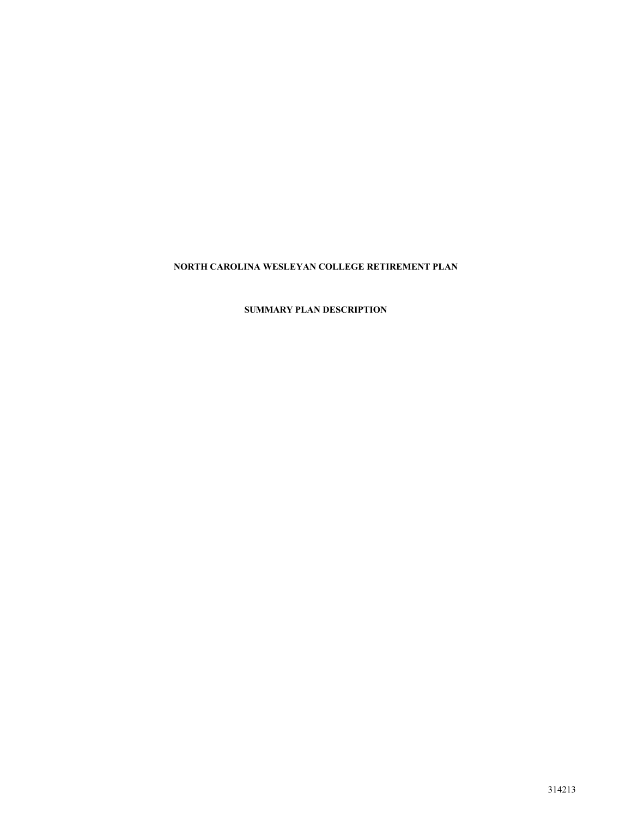# **NORTH CAROLINA WESLEYAN COLLEGE RETIREMENT PLAN**

# **SUMMARY PLAN DESCRIPTION**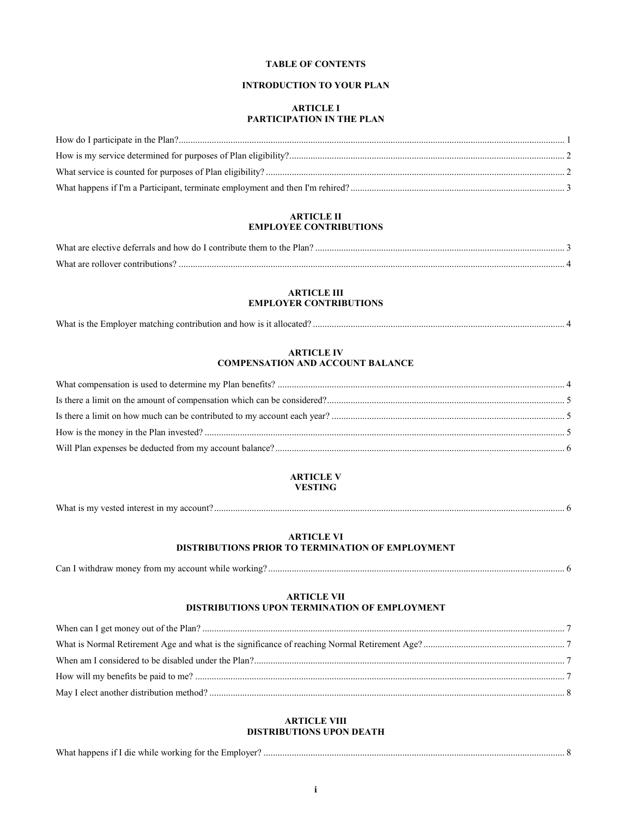# **TABLE OF CONTENTS**

# **INTRODUCTION TO YOUR PLAN**

# **ARTICLE I PARTICIPATION IN THE PLAN**

# **ARTICLE II EMPLOYEE CONTRIBUTIONS**

| What are elective deferrals and how do I contribute them to the Plan? |  |
|-----------------------------------------------------------------------|--|
| What are                                                              |  |

# **ARTICLE III EMPLOYER CONTRIBUTIONS**

| What is<br>r matching contribution and<br>l how is it allocated<br>. ine.<br>. Employer |  |
|-----------------------------------------------------------------------------------------|--|
|-----------------------------------------------------------------------------------------|--|

# **ARTICLE IV COMPENSATION AND ACCOUNT BALANCE**

# **ARTICLE V VESTING**

| What<br>account?<br>7 vested interest .<br>. mv |  |
|-------------------------------------------------|--|
|                                                 |  |

# **ARTICLE VI DISTRIBUTIONS PRIOR TO TERMINATION OF EMPLOYMENT**

| Can I withdraw money from my account while working? |  |  |
|-----------------------------------------------------|--|--|
|                                                     |  |  |

# **ARTICLE VII DISTRIBUTIONS UPON TERMINATION OF EMPLOYMENT**

# **ARTICLE VIII DISTRIBUTIONS UPON DEATH**

| What happens if I die while working for the Employer? |  |
|-------------------------------------------------------|--|
|-------------------------------------------------------|--|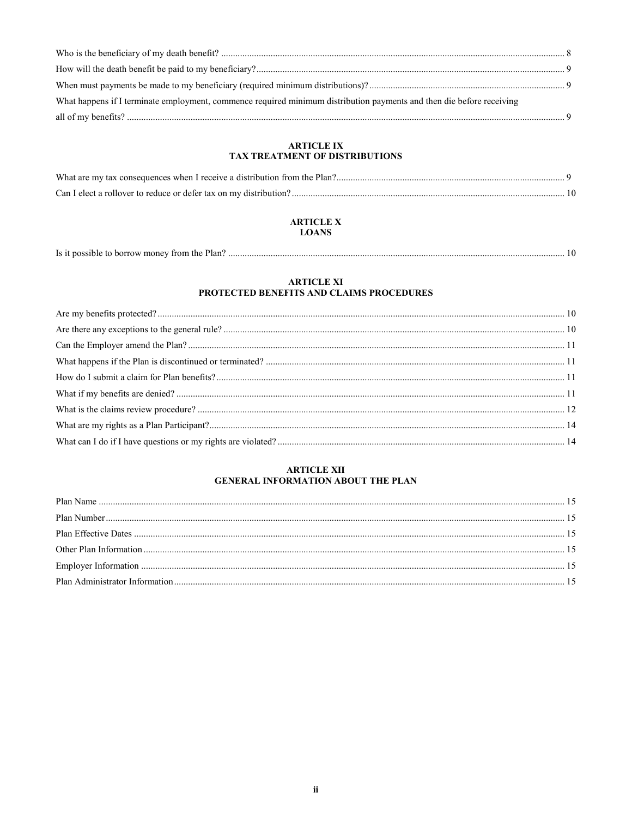| What happens if I terminate employment, commence required minimum distribution payments and then die before receiving |  |
|-----------------------------------------------------------------------------------------------------------------------|--|
|                                                                                                                       |  |
|                                                                                                                       |  |

# ARTICLE IX<br>TAX TREATMENT OF DISTRIBUTIONS

# **ARTICLE X LOANS**

| Is it possible to borrow money from the Plan? |
|-----------------------------------------------|
|-----------------------------------------------|

# ARTICLE XI<br>PROTECTED BENEFITS AND CLAIMS PROCEDURES

# **ARTICLE XII** GENERAL INFORMATION ABOUT THE PLAN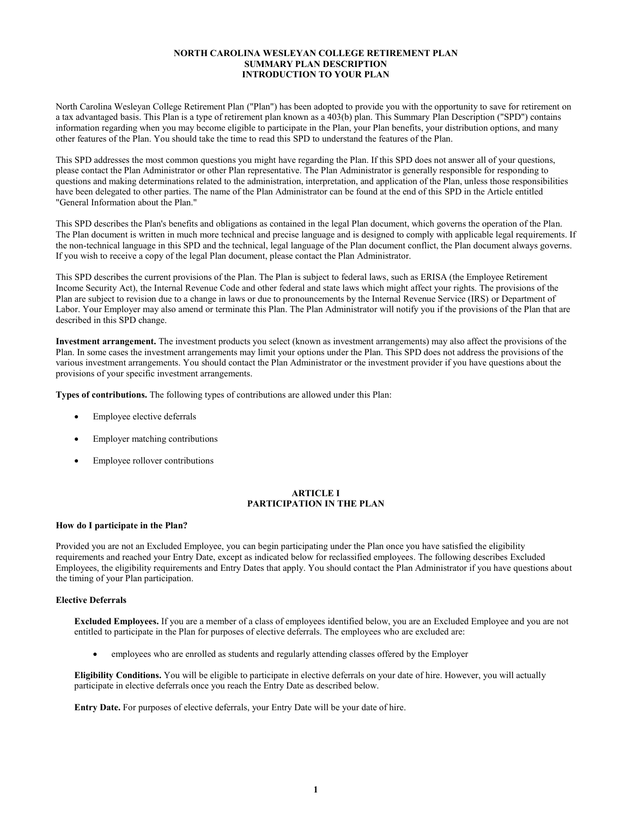# **NORTH CAROLINA WESLEYAN COLLEGE RETIREMENT PLAN SUMMARY PLAN DESCRIPTION INTRODUCTION TO YOUR PLAN**

North Carolina Wesleyan College Retirement Plan ("Plan") has been adopted to provide you with the opportunity to save for retirement on a tax advantaged basis. This Plan is a type of retirement plan known as a 403(b) plan. This Summary Plan Description ("SPD") contains information regarding when you may become eligible to participate in the Plan, your Plan benefits, your distribution options, and many other features of the Plan. You should take the time to read this SPD to understand the features of the Plan.

This SPD addresses the most common questions you might have regarding the Plan. If this SPD does not answer all of your questions, please contact the Plan Administrator or other Plan representative. The Plan Administrator is generally responsible for responding to questions and making determinations related to the administration, interpretation, and application of the Plan, unless those responsibilities have been delegated to other parties. The name of the Plan Administrator can be found at the end of this SPD in the Article entitled "General Information about the Plan."

This SPD describes the Plan's benefits and obligations as contained in the legal Plan document, which governs the operation of the Plan. The Plan document is written in much more technical and precise language and is designed to comply with applicable legal requirements. If the non-technical language in this SPD and the technical, legal language of the Plan document conflict, the Plan document always governs. If you wish to receive a copy of the legal Plan document, please contact the Plan Administrator.

This SPD describes the current provisions of the Plan. The Plan is subject to federal laws, such as ERISA (the Employee Retirement Income Security Act), the Internal Revenue Code and other federal and state laws which might affect your rights. The provisions of the Plan are subject to revision due to a change in laws or due to pronouncements by the Internal Revenue Service (IRS) or Department of Labor. Your Employer may also amend or terminate this Plan. The Plan Administrator will notify you if the provisions of the Plan that are described in this SPD change.

**Investment arrangement.** The investment products you select (known as investment arrangements) may also affect the provisions of the Plan. In some cases the investment arrangements may limit your options under the Plan. This SPD does not address the provisions of the various investment arrangements. You should contact the Plan Administrator or the investment provider if you have questions about the provisions of your specific investment arrangements.

**Types of contributions.** The following types of contributions are allowed under this Plan:

- Employee elective deferrals
- Employer matching contributions
- Employee rollover contributions

#### **ARTICLE I PARTICIPATION IN THE PLAN**

#### **How do I participate in the Plan?**

Provided you are not an Excluded Employee, you can begin participating under the Plan once you have satisfied the eligibility requirements and reached your Entry Date, except as indicated below for reclassified employees. The following describes Excluded Employees, the eligibility requirements and Entry Dates that apply. You should contact the Plan Administrator if you have questions about the timing of your Plan participation.

# **Elective Deferrals**

**Excluded Employees.** If you are a member of a class of employees identified below, you are an Excluded Employee and you are not entitled to participate in the Plan for purposes of elective deferrals. The employees who are excluded are:

employees who are enrolled as students and regularly attending classes offered by the Employer

**Eligibility Conditions.** You will be eligible to participate in elective deferrals on your date of hire. However, you will actually participate in elective deferrals once you reach the Entry Date as described below.

**Entry Date.** For purposes of elective deferrals, your Entry Date will be your date of hire.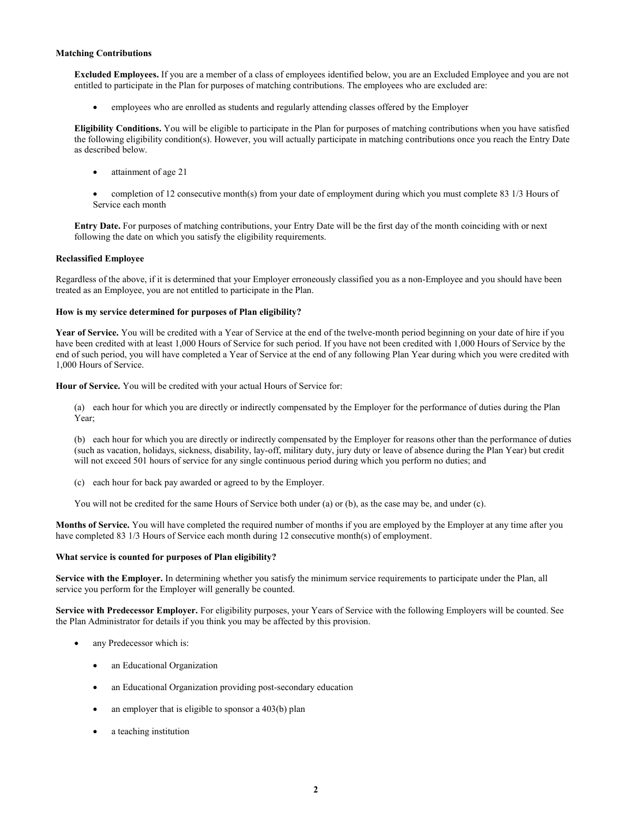#### **Matching Contributions**

**Excluded Employees.** If you are a member of a class of employees identified below, you are an Excluded Employee and you are not entitled to participate in the Plan for purposes of matching contributions. The employees who are excluded are:

employees who are enrolled as students and regularly attending classes offered by the Employer

**Eligibility Conditions.** You will be eligible to participate in the Plan for purposes of matching contributions when you have satisfied the following eligibility condition(s). However, you will actually participate in matching contributions once you reach the Entry Date as described below.

- attainment of age 21
- completion of 12 consecutive month(s) from your date of employment during which you must complete 83 1/3 Hours of Service each month

**Entry Date.** For purposes of matching contributions, your Entry Date will be the first day of the month coinciding with or next following the date on which you satisfy the eligibility requirements.

#### **Reclassified Employee**

Regardless of the above, if it is determined that your Employer erroneously classified you as a non-Employee and you should have been treated as an Employee, you are not entitled to participate in the Plan.

#### **How is my service determined for purposes of Plan eligibility?**

**Year of Service.** You will be credited with a Year of Service at the end of the twelve-month period beginning on your date of hire if you have been credited with at least 1,000 Hours of Service for such period. If you have not been credited with 1,000 Hours of Service by the end of such period, you will have completed a Year of Service at the end of any following Plan Year during which you were credited with 1,000 Hours of Service.

**Hour of Service.** You will be credited with your actual Hours of Service for:

(a) each hour for which you are directly or indirectly compensated by the Employer for the performance of duties during the Plan Year;

(b) each hour for which you are directly or indirectly compensated by the Employer for reasons other than the performance of duties (such as vacation, holidays, sickness, disability, lay-off, military duty, jury duty or leave of absence during the Plan Year) but credit will not exceed 501 hours of service for any single continuous period during which you perform no duties; and

(c) each hour for back pay awarded or agreed to by the Employer.

You will not be credited for the same Hours of Service both under (a) or (b), as the case may be, and under (c).

**Months of Service.** You will have completed the required number of months if you are employed by the Employer at any time after you have completed 83 1/3 Hours of Service each month during 12 consecutive month(s) of employment.

#### **What service is counted for purposes of Plan eligibility?**

**Service with the Employer.** In determining whether you satisfy the minimum service requirements to participate under the Plan, all service you perform for the Employer will generally be counted.

**Service with Predecessor Employer.** For eligibility purposes, your Years of Service with the following Employers will be counted. See the Plan Administrator for details if you think you may be affected by this provision.

- any Predecessor which is:
	- an Educational Organization
	- an Educational Organization providing post-secondary education
	- an employer that is eligible to sponsor a 403(b) plan
	- a teaching institution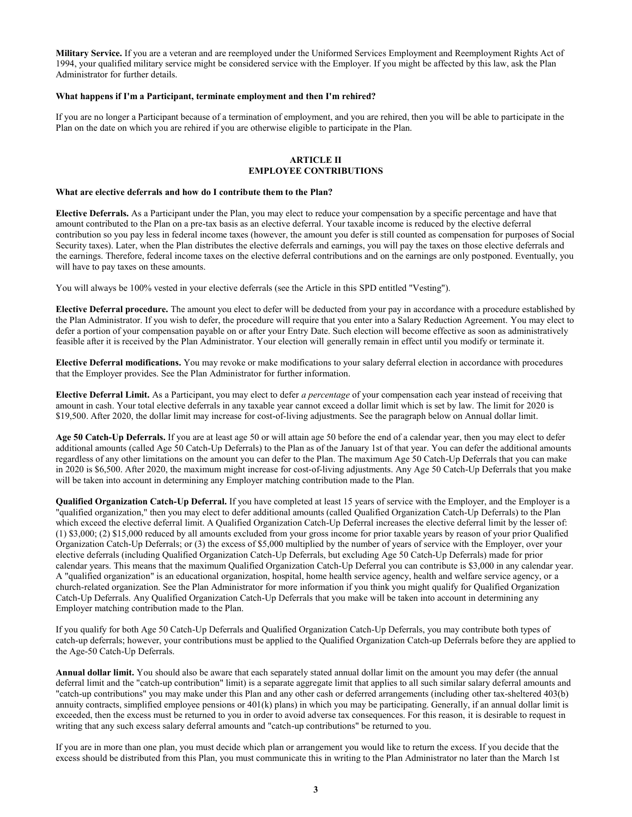**Military Service.** If you are a veteran and are reemployed under the Uniformed Services Employment and Reemployment Rights Act of 1994, your qualified military service might be considered service with the Employer. If you might be affected by this law, ask the Plan Administrator for further details.

#### **What happens if I'm a Participant, terminate employment and then I'm rehired?**

If you are no longer a Participant because of a termination of employment, and you are rehired, then you will be able to participate in the Plan on the date on which you are rehired if you are otherwise eligible to participate in the Plan.

#### **ARTICLE II EMPLOYEE CONTRIBUTIONS**

#### **What are elective deferrals and how do I contribute them to the Plan?**

**Elective Deferrals.** As a Participant under the Plan, you may elect to reduce your compensation by a specific percentage and have that amount contributed to the Plan on a pre-tax basis as an elective deferral. Your taxable income is reduced by the elective deferral contribution so you pay less in federal income taxes (however, the amount you defer is still counted as compensation for purposes of Social Security taxes). Later, when the Plan distributes the elective deferrals and earnings, you will pay the taxes on those elective deferrals and the earnings. Therefore, federal income taxes on the elective deferral contributions and on the earnings are only postponed. Eventually, you will have to pay taxes on these amounts.

You will always be 100% vested in your elective deferrals (see the Article in this SPD entitled "Vesting").

**Elective Deferral procedure.** The amount you elect to defer will be deducted from your pay in accordance with a procedure established by the Plan Administrator. If you wish to defer, the procedure will require that you enter into a Salary Reduction Agreement. You may elect to defer a portion of your compensation payable on or after your Entry Date. Such election will become effective as soon as administratively feasible after it is received by the Plan Administrator. Your election will generally remain in effect until you modify or terminate it.

**Elective Deferral modifications.** You may revoke or make modifications to your salary deferral election in accordance with procedures that the Employer provides. See the Plan Administrator for further information.

**Elective Deferral Limit.** As a Participant, you may elect to defer *a percentage* of your compensation each year instead of receiving that amount in cash. Your total elective deferrals in any taxable year cannot exceed a dollar limit which is set by law. The limit for 2020 is \$19,500. After 2020, the dollar limit may increase for cost-of-living adjustments. See the paragraph below on Annual dollar limit.

**Age 50 Catch-Up Deferrals.** If you are at least age 50 or will attain age 50 before the end of a calendar year, then you may elect to defer additional amounts (called Age 50 Catch-Up Deferrals) to the Plan as of the January 1st of that year. You can defer the additional amounts regardless of any other limitations on the amount you can defer to the Plan. The maximum Age 50 Catch-Up Deferrals that you can make in 2020 is \$6,500. After 2020, the maximum might increase for cost-of-living adjustments. Any Age 50 Catch-Up Deferrals that you make will be taken into account in determining any Employer matching contribution made to the Plan.

**Qualified Organization Catch-Up Deferral.** If you have completed at least 15 years of service with the Employer, and the Employer is a "qualified organization," then you may elect to defer additional amounts (called Qualified Organization Catch-Up Deferrals) to the Plan which exceed the elective deferral limit. A Qualified Organization Catch-Up Deferral increases the elective deferral limit by the lesser of: (1) \$3,000; (2) \$15,000 reduced by all amounts excluded from your gross income for prior taxable years by reason of your prior Qualified Organization Catch-Up Deferrals; or (3) the excess of \$5,000 multiplied by the number of years of service with the Employer, over your elective deferrals (including Qualified Organization Catch-Up Deferrals, but excluding Age 50 Catch-Up Deferrals) made for prior calendar years. This means that the maximum Qualified Organization Catch-Up Deferral you can contribute is \$3,000 in any calendar year. A "qualified organization" is an educational organization, hospital, home health service agency, health and welfare service agency, or a church-related organization. See the Plan Administrator for more information if you think you might qualify for Qualified Organization Catch-Up Deferrals. Any Qualified Organization Catch-Up Deferrals that you make will be taken into account in determining any Employer matching contribution made to the Plan.

If you qualify for both Age 50 Catch-Up Deferrals and Qualified Organization Catch-Up Deferrals, you may contribute both types of catch-up deferrals; however, your contributions must be applied to the Qualified Organization Catch-up Deferrals before they are applied to the Age-50 Catch-Up Deferrals.

**Annual dollar limit.** You should also be aware that each separately stated annual dollar limit on the amount you may defer (the annual deferral limit and the "catch-up contribution" limit) is a separate aggregate limit that applies to all such similar salary deferral amounts and "catch-up contributions" you may make under this Plan and any other cash or deferred arrangements (including other tax-sheltered 403(b) annuity contracts, simplified employee pensions or 401(k) plans) in which you may be participating. Generally, if an annual dollar limit is exceeded, then the excess must be returned to you in order to avoid adverse tax consequences. For this reason, it is desirable to request in writing that any such excess salary deferral amounts and "catch-up contributions" be returned to you.

If you are in more than one plan, you must decide which plan or arrangement you would like to return the excess. If you decide that the excess should be distributed from this Plan, you must communicate this in writing to the Plan Administrator no later than the March 1st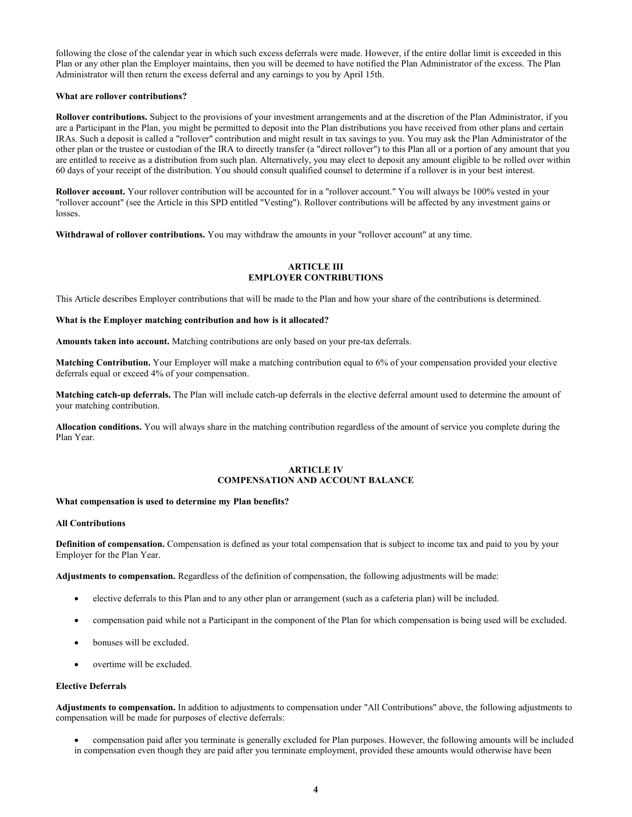following the close of the calendar year in which such excess deferrals were made. However, if the entire dollar limit is exceeded in this Plan or any other plan the Employer maintains, then you will be deemed to have notified the Plan Administrator of the excess. The Plan Administrator will then return the excess deferral and any earnings to you by April 15th.

# **What are rollover contributions?**

**Rollover contributions.** Subject to the provisions of your investment arrangements and at the discretion of the Plan Administrator, if you are a Participant in the Plan, you might be permitted to deposit into the Plan distributions you have received from other plans and certain IRAs. Such a deposit is called a "rollover" contribution and might result in tax savings to you. You may ask the Plan Administrator of the other plan or the trustee or custodian of the IRA to directly transfer (a "direct rollover") to this Plan all or a portion of any amount that you are entitled to receive as a distribution from such plan. Alternatively, you may elect to deposit any amount eligible to be rolled over within 60 days of your receipt of the distribution. You should consult qualified counsel to determine if a rollover is in your best interest.

**Rollover account.** Your rollover contribution will be accounted for in a "rollover account." You will always be 100% vested in your "rollover account" (see the Article in this SPD entitled "Vesting"). Rollover contributions will be affected by any investment gains or losses.

**Withdrawal of rollover contributions.** You may withdraw the amounts in your "rollover account" at any time.

# **ARTICLE III EMPLOYER CONTRIBUTIONS**

This Article describes Employer contributions that will be made to the Plan and how your share of the contributions is determined.

#### **What is the Employer matching contribution and how is it allocated?**

**Amounts taken into account.** Matching contributions are only based on your pre-tax deferrals.

**Matching Contribution.** Your Employer will make a matching contribution equal to 6% of your compensation provided your elective deferrals equal or exceed 4% of your compensation.

**Matching catch-up deferrals.** The Plan will include catch-up deferrals in the elective deferral amount used to determine the amount of your matching contribution.

**Allocation conditions.** You will always share in the matching contribution regardless of the amount of service you complete during the Plan Year.

# **ARTICLE IV COMPENSATION AND ACCOUNT BALANCE**

#### **What compensation is used to determine my Plan benefits?**

#### **All Contributions**

**Definition of compensation.** Compensation is defined as your total compensation that is subject to income tax and paid to you by your Employer for the Plan Year.

**Adjustments to compensation.** Regardless of the definition of compensation, the following adjustments will be made:

- elective deferrals to this Plan and to any other plan or arrangement (such as a cafeteria plan) will be included.
- compensation paid while not a Participant in the component of the Plan for which compensation is being used will be excluded.
- bonuses will be excluded.
- overtime will be excluded.

## **Elective Deferrals**

**Adjustments to compensation.** In addition to adjustments to compensation under "All Contributions" above, the following adjustments to compensation will be made for purposes of elective deferrals:

 compensation paid after you terminate is generally excluded for Plan purposes. However, the following amounts will be included in compensation even though they are paid after you terminate employment, provided these amounts would otherwise have been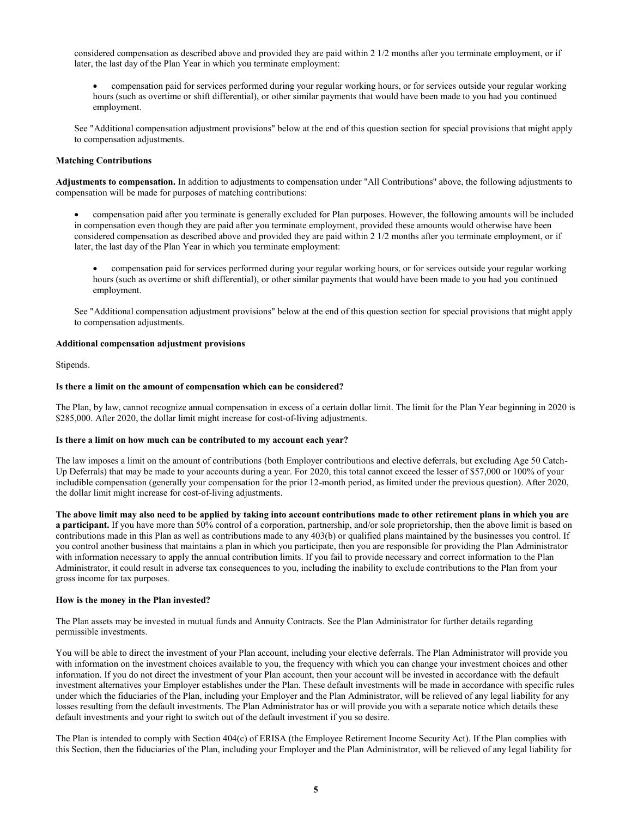considered compensation as described above and provided they are paid within 2 1/2 months after you terminate employment, or if later, the last day of the Plan Year in which you terminate employment:

 compensation paid for services performed during your regular working hours, or for services outside your regular working hours (such as overtime or shift differential), or other similar payments that would have been made to you had you continued employment.

See "Additional compensation adjustment provisions" below at the end of this question section for special provisions that might apply to compensation adjustments.

### **Matching Contributions**

**Adjustments to compensation.** In addition to adjustments to compensation under "All Contributions" above, the following adjustments to compensation will be made for purposes of matching contributions:

 compensation paid after you terminate is generally excluded for Plan purposes. However, the following amounts will be included in compensation even though they are paid after you terminate employment, provided these amounts would otherwise have been considered compensation as described above and provided they are paid within 2 1/2 months after you terminate employment, or if later, the last day of the Plan Year in which you terminate employment:

 compensation paid for services performed during your regular working hours, or for services outside your regular working hours (such as overtime or shift differential), or other similar payments that would have been made to you had you continued employment.

See "Additional compensation adjustment provisions" below at the end of this question section for special provisions that might apply to compensation adjustments.

#### **Additional compensation adjustment provisions**

Stipends.

#### **Is there a limit on the amount of compensation which can be considered?**

The Plan, by law, cannot recognize annual compensation in excess of a certain dollar limit. The limit for the Plan Year beginning in 2020 is \$285,000. After 2020, the dollar limit might increase for cost-of-living adjustments.

#### **Is there a limit on how much can be contributed to my account each year?**

The law imposes a limit on the amount of contributions (both Employer contributions and elective deferrals, but excluding Age 50 Catch-Up Deferrals) that may be made to your accounts during a year. For 2020, this total cannot exceed the lesser of \$57,000 or 100% of your includible compensation (generally your compensation for the prior 12-month period, as limited under the previous question). After 2020, the dollar limit might increase for cost-of-living adjustments.

**The above limit may also need to be applied by taking into account contributions made to other retirement plans in which you are a participant.** If you have more than 50% control of a corporation, partnership, and/or sole proprietorship, then the above limit is based on contributions made in this Plan as well as contributions made to any 403(b) or qualified plans maintained by the businesses you control. If you control another business that maintains a plan in which you participate, then you are responsible for providing the Plan Administrator with information necessary to apply the annual contribution limits. If you fail to provide necessary and correct information to the Plan Administrator, it could result in adverse tax consequences to you, including the inability to exclude contributions to the Plan from your gross income for tax purposes.

# **How is the money in the Plan invested?**

The Plan assets may be invested in mutual funds and Annuity Contracts. See the Plan Administrator for further details regarding permissible investments.

You will be able to direct the investment of your Plan account, including your elective deferrals. The Plan Administrator will provide you with information on the investment choices available to you, the frequency with which you can change your investment choices and other information. If you do not direct the investment of your Plan account, then your account will be invested in accordance with the default investment alternatives your Employer establishes under the Plan. These default investments will be made in accordance with specific rules under which the fiduciaries of the Plan, including your Employer and the Plan Administrator, will be relieved of any legal liability for any losses resulting from the default investments. The Plan Administrator has or will provide you with a separate notice which details these default investments and your right to switch out of the default investment if you so desire.

The Plan is intended to comply with Section 404(c) of ERISA (the Employee Retirement Income Security Act). If the Plan complies with this Section, then the fiduciaries of the Plan, including your Employer and the Plan Administrator, will be relieved of any legal liability for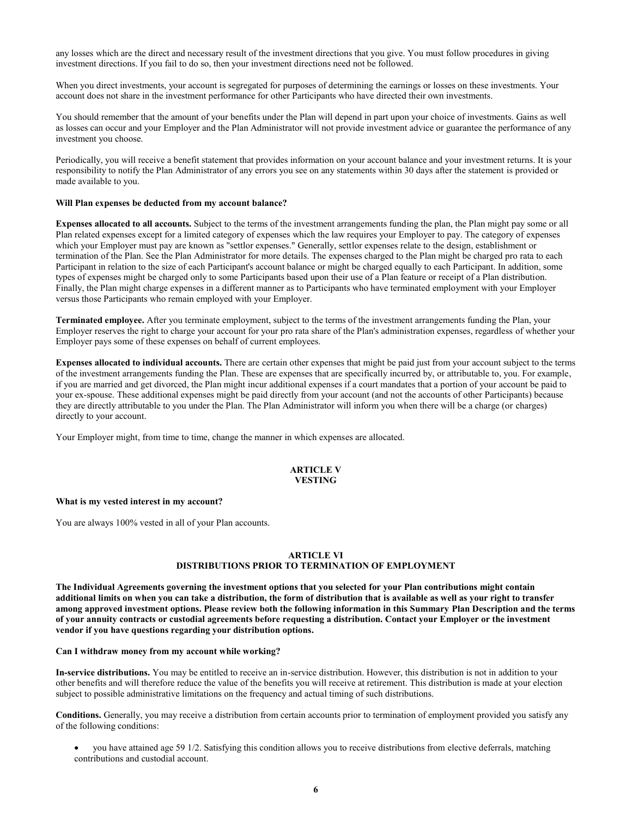any losses which are the direct and necessary result of the investment directions that you give. You must follow procedures in giving investment directions. If you fail to do so, then your investment directions need not be followed.

When you direct investments, your account is segregated for purposes of determining the earnings or losses on these investments. Your account does not share in the investment performance for other Participants who have directed their own investments.

You should remember that the amount of your benefits under the Plan will depend in part upon your choice of investments. Gains as well as losses can occur and your Employer and the Plan Administrator will not provide investment advice or guarantee the performance of any investment you choose.

Periodically, you will receive a benefit statement that provides information on your account balance and your investment returns. It is your responsibility to notify the Plan Administrator of any errors you see on any statements within 30 days after the statement is provided or made available to you.

# **Will Plan expenses be deducted from my account balance?**

**Expenses allocated to all accounts.** Subject to the terms of the investment arrangements funding the plan, the Plan might pay some or all Plan related expenses except for a limited category of expenses which the law requires your Employer to pay. The category of expenses which your Employer must pay are known as "settlor expenses." Generally, settlor expenses relate to the design, establishment or termination of the Plan. See the Plan Administrator for more details. The expenses charged to the Plan might be charged pro rata to each Participant in relation to the size of each Participant's account balance or might be charged equally to each Participant. In addition, some types of expenses might be charged only to some Participants based upon their use of a Plan feature or receipt of a Plan distribution. Finally, the Plan might charge expenses in a different manner as to Participants who have terminated employment with your Employer versus those Participants who remain employed with your Employer.

**Terminated employee.** After you terminate employment, subject to the terms of the investment arrangements funding the Plan, your Employer reserves the right to charge your account for your pro rata share of the Plan's administration expenses, regardless of whether your Employer pays some of these expenses on behalf of current employees.

**Expenses allocated to individual accounts.** There are certain other expenses that might be paid just from your account subject to the terms of the investment arrangements funding the Plan. These are expenses that are specifically incurred by, or attributable to, you. For example, if you are married and get divorced, the Plan might incur additional expenses if a court mandates that a portion of your account be paid to your ex-spouse. These additional expenses might be paid directly from your account (and not the accounts of other Participants) because they are directly attributable to you under the Plan. The Plan Administrator will inform you when there will be a charge (or charges) directly to your account.

Your Employer might, from time to time, change the manner in which expenses are allocated.

# **ARTICLE V VESTING**

#### **What is my vested interest in my account?**

You are always 100% vested in all of your Plan accounts.

#### **ARTICLE VI DISTRIBUTIONS PRIOR TO TERMINATION OF EMPLOYMENT**

**The Individual Agreements governing the investment options that you selected for your Plan contributions might contain additional limits on when you can take a distribution, the form of distribution that is available as well as your right to transfer among approved investment options. Please review both the following information in this Summary Plan Description and the terms of your annuity contracts or custodial agreements before requesting a distribution. Contact your Employer or the investment vendor if you have questions regarding your distribution options.**

#### **Can I withdraw money from my account while working?**

**In-service distributions.** You may be entitled to receive an in-service distribution. However, this distribution is not in addition to your other benefits and will therefore reduce the value of the benefits you will receive at retirement. This distribution is made at your election subject to possible administrative limitations on the frequency and actual timing of such distributions.

**Conditions.** Generally, you may receive a distribution from certain accounts prior to termination of employment provided you satisfy any of the following conditions:

 you have attained age 59 1/2. Satisfying this condition allows you to receive distributions from elective deferrals, matching contributions and custodial account.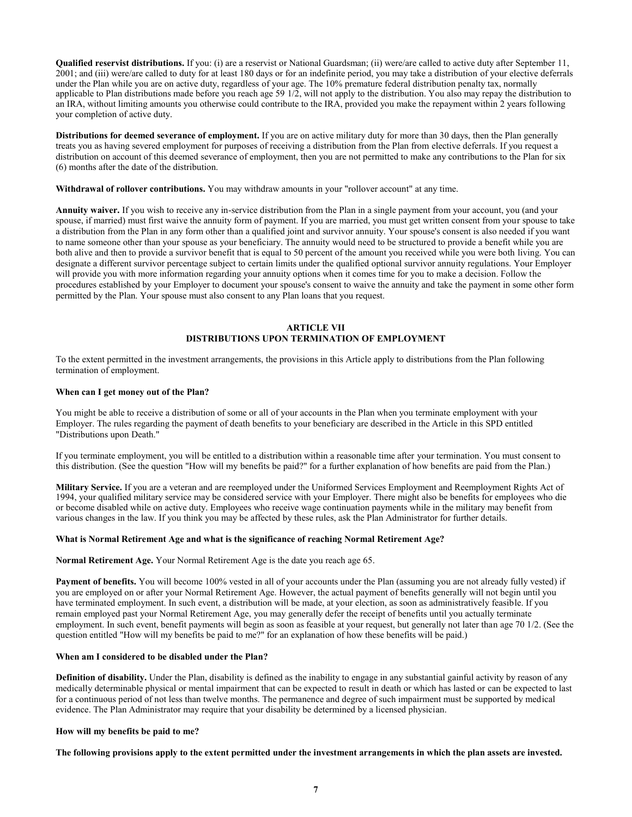**Qualified reservist distributions.** If you: (i) are a reservist or National Guardsman; (ii) were/are called to active duty after September 11, 2001; and (iii) were/are called to duty for at least 180 days or for an indefinite period, you may take a distribution of your elective deferrals under the Plan while you are on active duty, regardless of your age. The 10% premature federal distribution penalty tax, normally applicable to Plan distributions made before you reach age 59 1/2, will not apply to the distribution. You also may repay the distribution to an IRA, without limiting amounts you otherwise could contribute to the IRA, provided you make the repayment within 2 years following your completion of active duty.

**Distributions for deemed severance of employment.** If you are on active military duty for more than 30 days, then the Plan generally treats you as having severed employment for purposes of receiving a distribution from the Plan from elective deferrals. If you request a distribution on account of this deemed severance of employment, then you are not permitted to make any contributions to the Plan for six (6) months after the date of the distribution.

**Withdrawal of rollover contributions.** You may withdraw amounts in your "rollover account" at any time.

**Annuity waiver.** If you wish to receive any in-service distribution from the Plan in a single payment from your account, you (and your spouse, if married) must first waive the annuity form of payment. If you are married, you must get written consent from your spouse to take a distribution from the Plan in any form other than a qualified joint and survivor annuity. Your spouse's consent is also needed if you want to name someone other than your spouse as your beneficiary. The annuity would need to be structured to provide a benefit while you are both alive and then to provide a survivor benefit that is equal to 50 percent of the amount you received while you were both living. You can designate a different survivor percentage subject to certain limits under the qualified optional survivor annuity regulations. Your Employer will provide you with more information regarding your annuity options when it comes time for you to make a decision. Follow the procedures established by your Employer to document your spouse's consent to waive the annuity and take the payment in some other form permitted by the Plan. Your spouse must also consent to any Plan loans that you request.

# **ARTICLE VII DISTRIBUTIONS UPON TERMINATION OF EMPLOYMENT**

To the extent permitted in the investment arrangements, the provisions in this Article apply to distributions from the Plan following termination of employment.

#### **When can I get money out of the Plan?**

You might be able to receive a distribution of some or all of your accounts in the Plan when you terminate employment with your Employer. The rules regarding the payment of death benefits to your beneficiary are described in the Article in this SPD entitled "Distributions upon Death."

If you terminate employment, you will be entitled to a distribution within a reasonable time after your termination. You must consent to this distribution. (See the question "How will my benefits be paid?" for a further explanation of how benefits are paid from the Plan.)

**Military Service.** If you are a veteran and are reemployed under the Uniformed Services Employment and Reemployment Rights Act of 1994, your qualified military service may be considered service with your Employer. There might also be benefits for employees who die or become disabled while on active duty. Employees who receive wage continuation payments while in the military may benefit from various changes in the law. If you think you may be affected by these rules, ask the Plan Administrator for further details.

#### **What is Normal Retirement Age and what is the significance of reaching Normal Retirement Age?**

**Normal Retirement Age.** Your Normal Retirement Age is the date you reach age 65.

**Payment of benefits.** You will become 100% vested in all of your accounts under the Plan (assuming you are not already fully vested) if you are employed on or after your Normal Retirement Age. However, the actual payment of benefits generally will not begin until you have terminated employment. In such event, a distribution will be made, at your election, as soon as administratively feasible. If you remain employed past your Normal Retirement Age, you may generally defer the receipt of benefits until you actually terminate employment. In such event, benefit payments will begin as soon as feasible at your request, but generally not later than age 70 1/2. (See the question entitled "How will my benefits be paid to me?" for an explanation of how these benefits will be paid.)

#### **When am I considered to be disabled under the Plan?**

**Definition of disability.** Under the Plan, disability is defined as the inability to engage in any substantial gainful activity by reason of any medically determinable physical or mental impairment that can be expected to result in death or which has lasted or can be expected to last for a continuous period of not less than twelve months. The permanence and degree of such impairment must be supported by medical evidence. The Plan Administrator may require that your disability be determined by a licensed physician.

# **How will my benefits be paid to me?**

**The following provisions apply to the extent permitted under the investment arrangements in which the plan assets are invested.**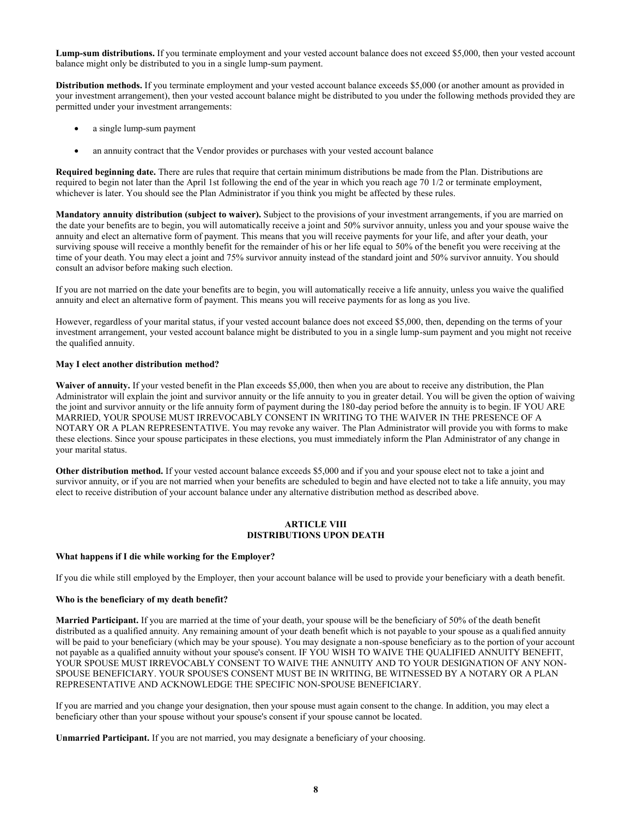**Lump-sum distributions.** If you terminate employment and your vested account balance does not exceed \$5,000, then your vested account balance might only be distributed to you in a single lump-sum payment.

**Distribution methods.** If you terminate employment and your vested account balance exceeds \$5,000 (or another amount as provided in your investment arrangement), then your vested account balance might be distributed to you under the following methods provided they are permitted under your investment arrangements:

- a single lump-sum payment
- an annuity contract that the Vendor provides or purchases with your vested account balance

**Required beginning date.** There are rules that require that certain minimum distributions be made from the Plan. Distributions are required to begin not later than the April 1st following the end of the year in which you reach age 70 1/2 or terminate employment, whichever is later. You should see the Plan Administrator if you think you might be affected by these rules.

**Mandatory annuity distribution (subject to waiver).** Subject to the provisions of your investment arrangements, if you are married on the date your benefits are to begin, you will automatically receive a joint and 50% survivor annuity, unless you and your spouse waive the annuity and elect an alternative form of payment. This means that you will receive payments for your life, and after your death, your surviving spouse will receive a monthly benefit for the remainder of his or her life equal to 50% of the benefit you were receiving at the time of your death. You may elect a joint and 75% survivor annuity instead of the standard joint and 50% survivor annuity. You should consult an advisor before making such election.

If you are not married on the date your benefits are to begin, you will automatically receive a life annuity, unless you waive the qualified annuity and elect an alternative form of payment. This means you will receive payments for as long as you live.

However, regardless of your marital status, if your vested account balance does not exceed \$5,000, then, depending on the terms of your investment arrangement, your vested account balance might be distributed to you in a single lump-sum payment and you might not receive the qualified annuity.

# **May I elect another distribution method?**

**Waiver of annuity.** If your vested benefit in the Plan exceeds \$5,000, then when you are about to receive any distribution, the Plan Administrator will explain the joint and survivor annuity or the life annuity to you in greater detail. You will be given the option of waiving the joint and survivor annuity or the life annuity form of payment during the 180-day period before the annuity is to begin. IF YOU ARE MARRIED, YOUR SPOUSE MUST IRREVOCABLY CONSENT IN WRITING TO THE WAIVER IN THE PRESENCE OF A NOTARY OR A PLAN REPRESENTATIVE. You may revoke any waiver. The Plan Administrator will provide you with forms to make these elections. Since your spouse participates in these elections, you must immediately inform the Plan Administrator of any change in your marital status.

**Other distribution method.** If your vested account balance exceeds \$5,000 and if you and your spouse elect not to take a joint and survivor annuity, or if you are not married when your benefits are scheduled to begin and have elected not to take a life annuity, you may elect to receive distribution of your account balance under any alternative distribution method as described above.

#### **ARTICLE VIII DISTRIBUTIONS UPON DEATH**

### **What happens if I die while working for the Employer?**

If you die while still employed by the Employer, then your account balance will be used to provide your beneficiary with a death benefit.

#### **Who is the beneficiary of my death benefit?**

**Married Participant.** If you are married at the time of your death, your spouse will be the beneficiary of 50% of the death benefit distributed as a qualified annuity. Any remaining amount of your death benefit which is not payable to your spouse as a qualified annuity will be paid to your beneficiary (which may be your spouse). You may designate a non-spouse beneficiary as to the portion of your account not payable as a qualified annuity without your spouse's consent. IF YOU WISH TO WAIVE THE QUALIFIED ANNUITY BENEFIT, YOUR SPOUSE MUST IRREVOCABLY CONSENT TO WAIVE THE ANNUITY AND TO YOUR DESIGNATION OF ANY NON-SPOUSE BENEFICIARY. YOUR SPOUSE'S CONSENT MUST BE IN WRITING, BE WITNESSED BY A NOTARY OR A PLAN REPRESENTATIVE AND ACKNOWLEDGE THE SPECIFIC NON-SPOUSE BENEFICIARY.

If you are married and you change your designation, then your spouse must again consent to the change. In addition, you may elect a beneficiary other than your spouse without your spouse's consent if your spouse cannot be located.

**Unmarried Participant.** If you are not married, you may designate a beneficiary of your choosing.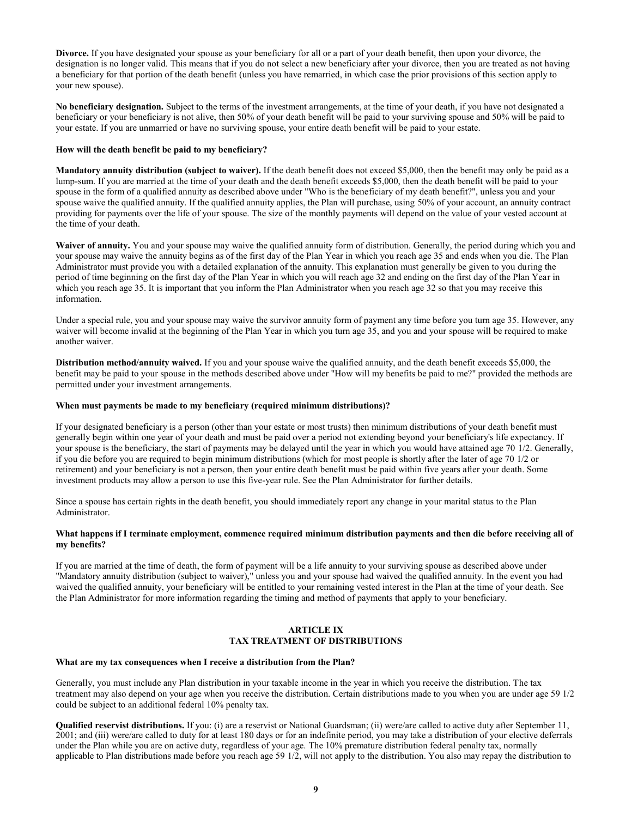**Divorce.** If you have designated your spouse as your beneficiary for all or a part of your death benefit, then upon your divorce, the designation is no longer valid. This means that if you do not select a new beneficiary after your divorce, then you are treated as not having a beneficiary for that portion of the death benefit (unless you have remarried, in which case the prior provisions of this section apply to your new spouse).

**No beneficiary designation.** Subject to the terms of the investment arrangements, at the time of your death, if you have not designated a beneficiary or your beneficiary is not alive, then 50% of your death benefit will be paid to your surviving spouse and 50% will be paid to your estate. If you are unmarried or have no surviving spouse, your entire death benefit will be paid to your estate.

#### **How will the death benefit be paid to my beneficiary?**

**Mandatory annuity distribution (subject to waiver).** If the death benefit does not exceed \$5,000, then the benefit may only be paid as a lump-sum. If you are married at the time of your death and the death benefit exceeds \$5,000, then the death benefit will be paid to your spouse in the form of a qualified annuity as described above under "Who is the beneficiary of my death benefit?", unless you and your spouse waive the qualified annuity. If the qualified annuity applies, the Plan will purchase, using 50% of your account, an annuity contract providing for payments over the life of your spouse. The size of the monthly payments will depend on the value of your vested account at the time of your death.

Waiver of annuity. You and your spouse may waive the qualified annuity form of distribution. Generally, the period during which you and your spouse may waive the annuity begins as of the first day of the Plan Year in which you reach age 35 and ends when you die. The Plan Administrator must provide you with a detailed explanation of the annuity. This explanation must generally be given to you during the period of time beginning on the first day of the Plan Year in which you will reach age 32 and ending on the first day of the Plan Year in which you reach age 35. It is important that you inform the Plan Administrator when you reach age 32 so that you may receive this information.

Under a special rule, you and your spouse may waive the survivor annuity form of payment any time before you turn age 35. However, any waiver will become invalid at the beginning of the Plan Year in which you turn age 35, and you and your spouse will be required to make another waiver.

**Distribution method/annuity waived.** If you and your spouse waive the qualified annuity, and the death benefit exceeds \$5,000, the benefit may be paid to your spouse in the methods described above under "How will my benefits be paid to me?" provided the methods are permitted under your investment arrangements.

#### **When must payments be made to my beneficiary (required minimum distributions)?**

If your designated beneficiary is a person (other than your estate or most trusts) then minimum distributions of your death benefit must generally begin within one year of your death and must be paid over a period not extending beyond your beneficiary's life expectancy. If your spouse is the beneficiary, the start of payments may be delayed until the year in which you would have attained age 70 1/2. Generally, if you die before you are required to begin minimum distributions (which for most people is shortly after the later of age 70 1/2 or retirement) and your beneficiary is not a person, then your entire death benefit must be paid within five years after your death. Some investment products may allow a person to use this five-year rule. See the Plan Administrator for further details.

Since a spouse has certain rights in the death benefit, you should immediately report any change in your marital status to the Plan Administrator.

# **What happens if I terminate employment, commence required minimum distribution payments and then die before receiving all of my benefits?**

If you are married at the time of death, the form of payment will be a life annuity to your surviving spouse as described above under "Mandatory annuity distribution (subject to waiver)," unless you and your spouse had waived the qualified annuity. In the event you had waived the qualified annuity, your beneficiary will be entitled to your remaining vested interest in the Plan at the time of your death. See the Plan Administrator for more information regarding the timing and method of payments that apply to your beneficiary.

# **ARTICLE IX TAX TREATMENT OF DISTRIBUTIONS**

#### **What are my tax consequences when I receive a distribution from the Plan?**

Generally, you must include any Plan distribution in your taxable income in the year in which you receive the distribution. The tax treatment may also depend on your age when you receive the distribution. Certain distributions made to you when you are under age 59 1/2 could be subject to an additional federal 10% penalty tax.

**Qualified reservist distributions.** If you: (i) are a reservist or National Guardsman; (ii) were/are called to active duty after September 11, 2001; and (iii) were/are called to duty for at least 180 days or for an indefinite period, you may take a distribution of your elective deferrals under the Plan while you are on active duty, regardless of your age. The 10% premature distribution federal penalty tax, normally applicable to Plan distributions made before you reach age 59 1/2, will not apply to the distribution. You also may repay the distribution to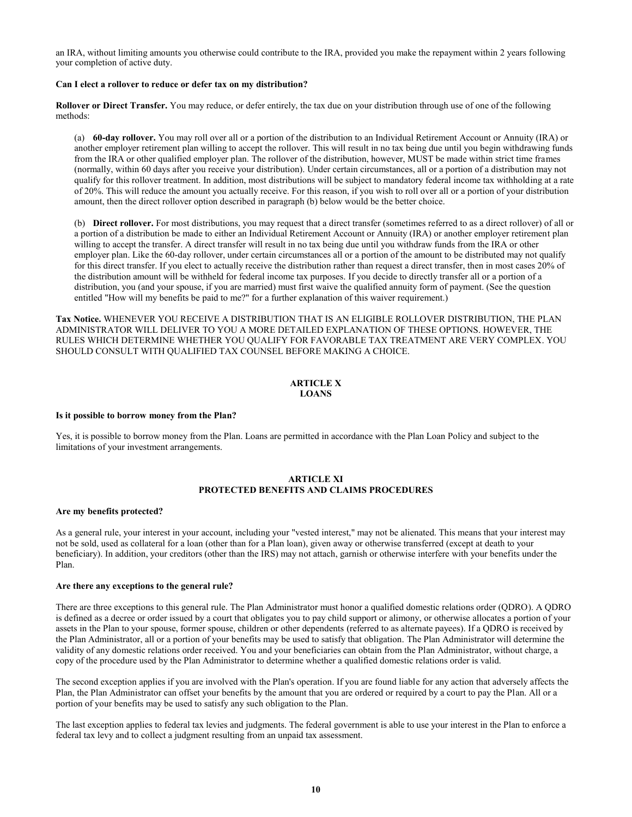an IRA, without limiting amounts you otherwise could contribute to the IRA, provided you make the repayment within 2 years following your completion of active duty.

# **Can I elect a rollover to reduce or defer tax on my distribution?**

**Rollover or Direct Transfer.** You may reduce, or defer entirely, the tax due on your distribution through use of one of the following methods:

(a) **60-day rollover.** You may roll over all or a portion of the distribution to an Individual Retirement Account or Annuity (IRA) or another employer retirement plan willing to accept the rollover. This will result in no tax being due until you begin withdrawing funds from the IRA or other qualified employer plan. The rollover of the distribution, however, MUST be made within strict time frames (normally, within 60 days after you receive your distribution). Under certain circumstances, all or a portion of a distribution may not qualify for this rollover treatment. In addition, most distributions will be subject to mandatory federal income tax withholding at a rate of 20%. This will reduce the amount you actually receive. For this reason, if you wish to roll over all or a portion of your distribution amount, then the direct rollover option described in paragraph (b) below would be the better choice.

(b) **Direct rollover.** For most distributions, you may request that a direct transfer (sometimes referred to as a direct rollover) of all or a portion of a distribution be made to either an Individual Retirement Account or Annuity (IRA) or another employer retirement plan willing to accept the transfer. A direct transfer will result in no tax being due until you withdraw funds from the IRA or other employer plan. Like the 60-day rollover, under certain circumstances all or a portion of the amount to be distributed may not qualify for this direct transfer. If you elect to actually receive the distribution rather than request a direct transfer, then in most cases 20% of the distribution amount will be withheld for federal income tax purposes. If you decide to directly transfer all or a portion of a distribution, you (and your spouse, if you are married) must first waive the qualified annuity form of payment. (See the question entitled "How will my benefits be paid to me?" for a further explanation of this waiver requirement.)

**Tax Notice.** WHENEVER YOU RECEIVE A DISTRIBUTION THAT IS AN ELIGIBLE ROLLOVER DISTRIBUTION, THE PLAN ADMINISTRATOR WILL DELIVER TO YOU A MORE DETAILED EXPLANATION OF THESE OPTIONS. HOWEVER, THE RULES WHICH DETERMINE WHETHER YOU QUALIFY FOR FAVORABLE TAX TREATMENT ARE VERY COMPLEX. YOU SHOULD CONSULT WITH QUALIFIED TAX COUNSEL BEFORE MAKING A CHOICE.

# **ARTICLE X LOANS**

#### **Is it possible to borrow money from the Plan?**

Yes, it is possible to borrow money from the Plan. Loans are permitted in accordance with the Plan Loan Policy and subject to the limitations of your investment arrangements.

# **ARTICLE XI PROTECTED BENEFITS AND CLAIMS PROCEDURES**

#### **Are my benefits protected?**

As a general rule, your interest in your account, including your "vested interest," may not be alienated. This means that your interest may not be sold, used as collateral for a loan (other than for a Plan loan), given away or otherwise transferred (except at death to your beneficiary). In addition, your creditors (other than the IRS) may not attach, garnish or otherwise interfere with your benefits under the Plan.

#### **Are there any exceptions to the general rule?**

There are three exceptions to this general rule. The Plan Administrator must honor a qualified domestic relations order (QDRO). A QDRO is defined as a decree or order issued by a court that obligates you to pay child support or alimony, or otherwise allocates a portion of your assets in the Plan to your spouse, former spouse, children or other dependents (referred to as alternate payees). If a QDRO is received by the Plan Administrator, all or a portion of your benefits may be used to satisfy that obligation. The Plan Administrator will determine the validity of any domestic relations order received. You and your beneficiaries can obtain from the Plan Administrator, without charge, a copy of the procedure used by the Plan Administrator to determine whether a qualified domestic relations order is valid.

The second exception applies if you are involved with the Plan's operation. If you are found liable for any action that adversely affects the Plan, the Plan Administrator can offset your benefits by the amount that you are ordered or required by a court to pay the Plan. All or a portion of your benefits may be used to satisfy any such obligation to the Plan.

The last exception applies to federal tax levies and judgments. The federal government is able to use your interest in the Plan to enforce a federal tax levy and to collect a judgment resulting from an unpaid tax assessment.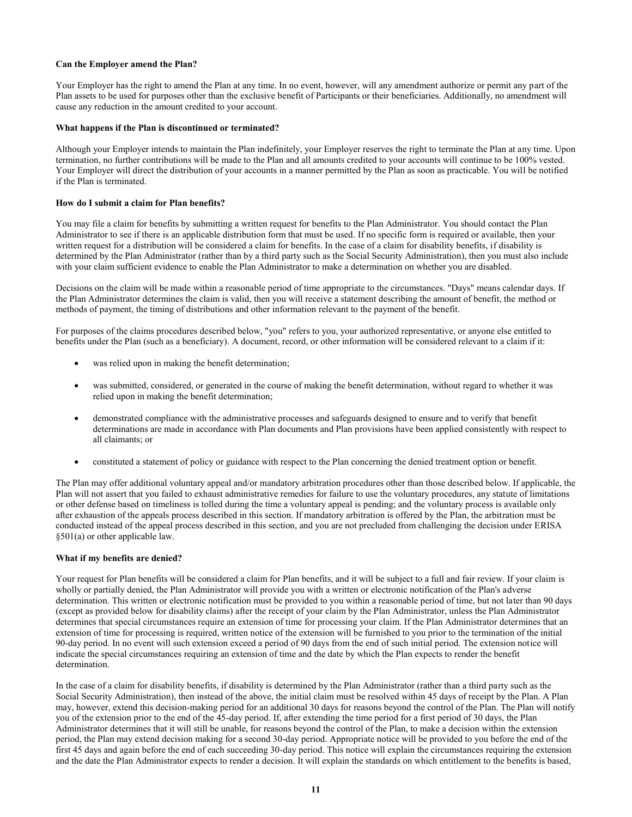# **Can the Employer amend the Plan?**

Your Employer has the right to amend the Plan at any time. In no event, however, will any amendment authorize or permit any part of the Plan assets to be used for purposes other than the exclusive benefit of Participants or their beneficiaries. Additionally, no amendment will cause any reduction in the amount credited to your account.

# **What happens if the Plan is discontinued or terminated?**

Although your Employer intends to maintain the Plan indefinitely, your Employer reserves the right to terminate the Plan at any time. Upon termination, no further contributions will be made to the Plan and all amounts credited to your accounts will continue to be 100% vested. Your Employer will direct the distribution of your accounts in a manner permitted by the Plan as soon as practicable. You will be notified if the Plan is terminated.

# **How do I submit a claim for Plan benefits?**

You may file a claim for benefits by submitting a written request for benefits to the Plan Administrator. You should contact the Plan Administrator to see if there is an applicable distribution form that must be used. If no specific form is required or available, then your written request for a distribution will be considered a claim for benefits. In the case of a claim for disability benefits, if disability is determined by the Plan Administrator (rather than by a third party such as the Social Security Administration), then you must also include with your claim sufficient evidence to enable the Plan Administrator to make a determination on whether you are disabled.

Decisions on the claim will be made within a reasonable period of time appropriate to the circumstances. "Days" means calendar days. If the Plan Administrator determines the claim is valid, then you will receive a statement describing the amount of benefit, the method or methods of payment, the timing of distributions and other information relevant to the payment of the benefit.

For purposes of the claims procedures described below, "you" refers to you, your authorized representative, or anyone else entitled to benefits under the Plan (such as a beneficiary). A document, record, or other information will be considered relevant to a claim if it:

- was relied upon in making the benefit determination;
- was submitted, considered, or generated in the course of making the benefit determination, without regard to whether it was relied upon in making the benefit determination;
- demonstrated compliance with the administrative processes and safeguards designed to ensure and to verify that benefit determinations are made in accordance with Plan documents and Plan provisions have been applied consistently with respect to all claimants; or
- constituted a statement of policy or guidance with respect to the Plan concerning the denied treatment option or benefit.

The Plan may offer additional voluntary appeal and/or mandatory arbitration procedures other than those described below. If applicable, the Plan will not assert that you failed to exhaust administrative remedies for failure to use the voluntary procedures, any statute of limitations or other defense based on timeliness is tolled during the time a voluntary appeal is pending; and the voluntary process is available only after exhaustion of the appeals process described in this section. If mandatory arbitration is offered by the Plan, the arbitration must be conducted instead of the appeal process described in this section, and you are not precluded from challenging the decision under ERISA §501(a) or other applicable law.

#### **What if my benefits are denied?**

Your request for Plan benefits will be considered a claim for Plan benefits, and it will be subject to a full and fair review. If your claim is wholly or partially denied, the Plan Administrator will provide you with a written or electronic notification of the Plan's adverse determination. This written or electronic notification must be provided to you within a reasonable period of time, but not later than 90 days (except as provided below for disability claims) after the receipt of your claim by the Plan Administrator, unless the Plan Administrator determines that special circumstances require an extension of time for processing your claim. If the Plan Administrator determines that an extension of time for processing is required, written notice of the extension will be furnished to you prior to the termination of the initial 90-day period. In no event will such extension exceed a period of 90 days from the end of such initial period. The extension notice will indicate the special circumstances requiring an extension of time and the date by which the Plan expects to render the benefit determination.

In the case of a claim for disability benefits, if disability is determined by the Plan Administrator (rather than a third party such as the Social Security Administration), then instead of the above, the initial claim must be resolved within 45 days of receipt by the Plan. A Plan may, however, extend this decision-making period for an additional 30 days for reasons beyond the control of the Plan. The Plan will notify you of the extension prior to the end of the 45-day period. If, after extending the time period for a first period of 30 days, the Plan Administrator determines that it will still be unable, for reasons beyond the control of the Plan, to make a decision within the extension period, the Plan may extend decision making for a second 30-day period. Appropriate notice will be provided to you before the end of the first 45 days and again before the end of each succeeding 30-day period. This notice will explain the circumstances requiring the extension and the date the Plan Administrator expects to render a decision. It will explain the standards on which entitlement to the benefits is based,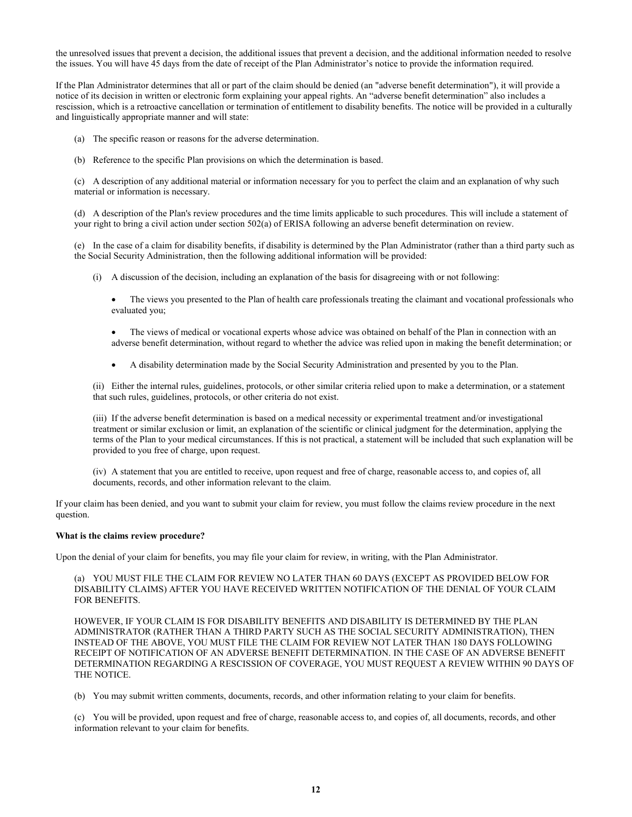the unresolved issues that prevent a decision, the additional issues that prevent a decision, and the additional information needed to resolve the issues. You will have 45 days from the date of receipt of the Plan Administrator's notice to provide the information required.

If the Plan Administrator determines that all or part of the claim should be denied (an "adverse benefit determination"), it will provide a notice of its decision in written or electronic form explaining your appeal rights. An "adverse benefit determination" also includes a rescission, which is a retroactive cancellation or termination of entitlement to disability benefits. The notice will be provided in a culturally and linguistically appropriate manner and will state:

- (a) The specific reason or reasons for the adverse determination.
- (b) Reference to the specific Plan provisions on which the determination is based.

(c) A description of any additional material or information necessary for you to perfect the claim and an explanation of why such material or information is necessary.

(d) A description of the Plan's review procedures and the time limits applicable to such procedures. This will include a statement of your right to bring a civil action under section 502(a) of ERISA following an adverse benefit determination on review.

(e) In the case of a claim for disability benefits, if disability is determined by the Plan Administrator (rather than a third party such as the Social Security Administration, then the following additional information will be provided:

- (i) A discussion of the decision, including an explanation of the basis for disagreeing with or not following:
	- The views you presented to the Plan of health care professionals treating the claimant and vocational professionals who evaluated you;
	- The views of medical or vocational experts whose advice was obtained on behalf of the Plan in connection with an adverse benefit determination, without regard to whether the advice was relied upon in making the benefit determination; or
	- A disability determination made by the Social Security Administration and presented by you to the Plan.

(ii) Either the internal rules, guidelines, protocols, or other similar criteria relied upon to make a determination, or a statement that such rules, guidelines, protocols, or other criteria do not exist.

(iii) If the adverse benefit determination is based on a medical necessity or experimental treatment and/or investigational treatment or similar exclusion or limit, an explanation of the scientific or clinical judgment for the determination, applying the terms of the Plan to your medical circumstances. If this is not practical, a statement will be included that such explanation will be provided to you free of charge, upon request.

(iv) A statement that you are entitled to receive, upon request and free of charge, reasonable access to, and copies of, all documents, records, and other information relevant to the claim.

If your claim has been denied, and you want to submit your claim for review, you must follow the claims review procedure in the next question.

#### **What is the claims review procedure?**

Upon the denial of your claim for benefits, you may file your claim for review, in writing, with the Plan Administrator.

(a) YOU MUST FILE THE CLAIM FOR REVIEW NO LATER THAN 60 DAYS (EXCEPT AS PROVIDED BELOW FOR DISABILITY CLAIMS) AFTER YOU HAVE RECEIVED WRITTEN NOTIFICATION OF THE DENIAL OF YOUR CLAIM FOR BENEFITS.

HOWEVER, IF YOUR CLAIM IS FOR DISABILITY BENEFITS AND DISABILITY IS DETERMINED BY THE PLAN ADMINISTRATOR (RATHER THAN A THIRD PARTY SUCH AS THE SOCIAL SECURITY ADMINISTRATION), THEN INSTEAD OF THE ABOVE, YOU MUST FILE THE CLAIM FOR REVIEW NOT LATER THAN 180 DAYS FOLLOWING RECEIPT OF NOTIFICATION OF AN ADVERSE BENEFIT DETERMINATION. IN THE CASE OF AN ADVERSE BENEFIT DETERMINATION REGARDING A RESCISSION OF COVERAGE, YOU MUST REQUEST A REVIEW WITHIN 90 DAYS OF THE NOTICE.

(b) You may submit written comments, documents, records, and other information relating to your claim for benefits.

(c) You will be provided, upon request and free of charge, reasonable access to, and copies of, all documents, records, and other information relevant to your claim for benefits.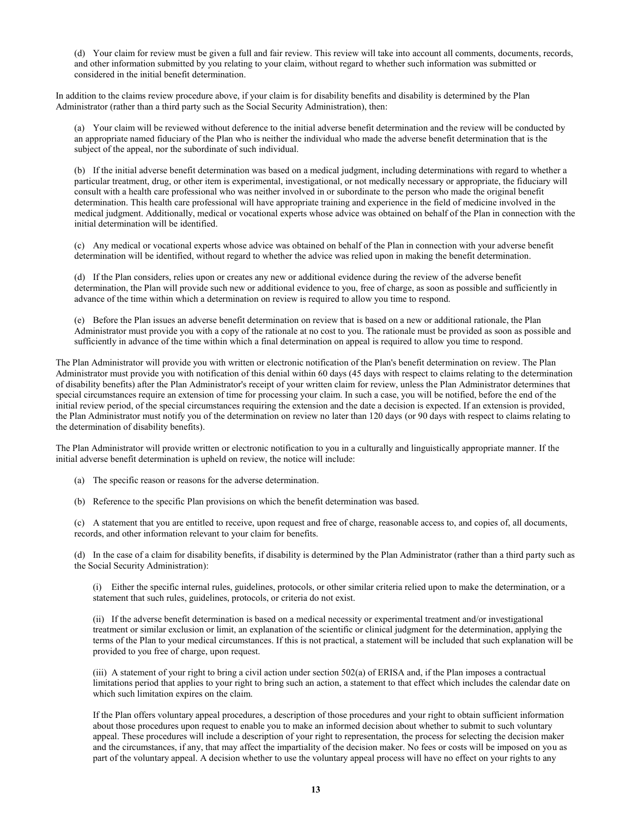(d) Your claim for review must be given a full and fair review. This review will take into account all comments, documents, records, and other information submitted by you relating to your claim, without regard to whether such information was submitted or considered in the initial benefit determination.

In addition to the claims review procedure above, if your claim is for disability benefits and disability is determined by the Plan Administrator (rather than a third party such as the Social Security Administration), then:

(a) Your claim will be reviewed without deference to the initial adverse benefit determination and the review will be conducted by an appropriate named fiduciary of the Plan who is neither the individual who made the adverse benefit determination that is the subject of the appeal, nor the subordinate of such individual.

(b) If the initial adverse benefit determination was based on a medical judgment, including determinations with regard to whether a particular treatment, drug, or other item is experimental, investigational, or not medically necessary or appropriate, the fiduciary will consult with a health care professional who was neither involved in or subordinate to the person who made the original benefit determination. This health care professional will have appropriate training and experience in the field of medicine involved in the medical judgment. Additionally, medical or vocational experts whose advice was obtained on behalf of the Plan in connection with the initial determination will be identified.

(c) Any medical or vocational experts whose advice was obtained on behalf of the Plan in connection with your adverse benefit determination will be identified, without regard to whether the advice was relied upon in making the benefit determination.

(d) If the Plan considers, relies upon or creates any new or additional evidence during the review of the adverse benefit determination, the Plan will provide such new or additional evidence to you, free of charge, as soon as possible and sufficiently in advance of the time within which a determination on review is required to allow you time to respond.

(e) Before the Plan issues an adverse benefit determination on review that is based on a new or additional rationale, the Plan Administrator must provide you with a copy of the rationale at no cost to you. The rationale must be provided as soon as possible and sufficiently in advance of the time within which a final determination on appeal is required to allow you time to respond.

The Plan Administrator will provide you with written or electronic notification of the Plan's benefit determination on review. The Plan Administrator must provide you with notification of this denial within 60 days (45 days with respect to claims relating to the determination of disability benefits) after the Plan Administrator's receipt of your written claim for review, unless the Plan Administrator determines that special circumstances require an extension of time for processing your claim. In such a case, you will be notified, before the end of the initial review period, of the special circumstances requiring the extension and the date a decision is expected. If an extension is provided, the Plan Administrator must notify you of the determination on review no later than 120 days (or 90 days with respect to claims relating to the determination of disability benefits).

The Plan Administrator will provide written or electronic notification to you in a culturally and linguistically appropriate manner. If the initial adverse benefit determination is upheld on review, the notice will include:

(a) The specific reason or reasons for the adverse determination.

(b) Reference to the specific Plan provisions on which the benefit determination was based.

(c) A statement that you are entitled to receive, upon request and free of charge, reasonable access to, and copies of, all documents, records, and other information relevant to your claim for benefits.

(d) In the case of a claim for disability benefits, if disability is determined by the Plan Administrator (rather than a third party such as the Social Security Administration):

(i) Either the specific internal rules, guidelines, protocols, or other similar criteria relied upon to make the determination, or a statement that such rules, guidelines, protocols, or criteria do not exist.

(ii) If the adverse benefit determination is based on a medical necessity or experimental treatment and/or investigational treatment or similar exclusion or limit, an explanation of the scientific or clinical judgment for the determination, applying the terms of the Plan to your medical circumstances. If this is not practical, a statement will be included that such explanation will be provided to you free of charge, upon request.

(iii) A statement of your right to bring a civil action under section 502(a) of ERISA and, if the Plan imposes a contractual limitations period that applies to your right to bring such an action, a statement to that effect which includes the calendar date on which such limitation expires on the claim.

If the Plan offers voluntary appeal procedures, a description of those procedures and your right to obtain sufficient information about those procedures upon request to enable you to make an informed decision about whether to submit to such voluntary appeal. These procedures will include a description of your right to representation, the process for selecting the decision maker and the circumstances, if any, that may affect the impartiality of the decision maker. No fees or costs will be imposed on you as part of the voluntary appeal. A decision whether to use the voluntary appeal process will have no effect on your rights to any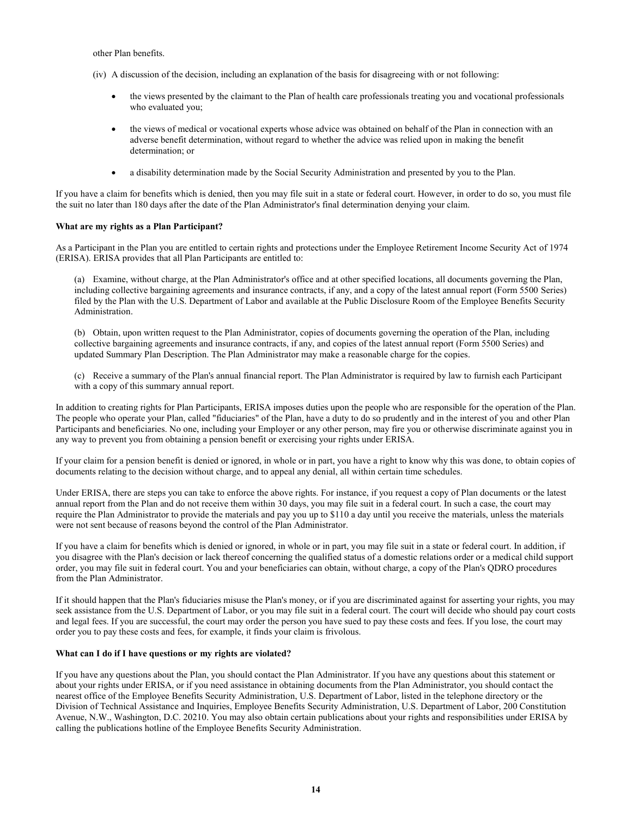other Plan benefits.

- (iv) A discussion of the decision, including an explanation of the basis for disagreeing with or not following:
	- the views presented by the claimant to the Plan of health care professionals treating you and vocational professionals who evaluated you;
	- the views of medical or vocational experts whose advice was obtained on behalf of the Plan in connection with an adverse benefit determination, without regard to whether the advice was relied upon in making the benefit determination; or
	- a disability determination made by the Social Security Administration and presented by you to the Plan.

If you have a claim for benefits which is denied, then you may file suit in a state or federal court. However, in order to do so, you must file the suit no later than 180 days after the date of the Plan Administrator's final determination denying your claim.

# **What are my rights as a Plan Participant?**

As a Participant in the Plan you are entitled to certain rights and protections under the Employee Retirement Income Security Act of 1974 (ERISA). ERISA provides that all Plan Participants are entitled to:

(a) Examine, without charge, at the Plan Administrator's office and at other specified locations, all documents governing the Plan, including collective bargaining agreements and insurance contracts, if any, and a copy of the latest annual report (Form 5500 Series) filed by the Plan with the U.S. Department of Labor and available at the Public Disclosure Room of the Employee Benefits Security Administration.

(b) Obtain, upon written request to the Plan Administrator, copies of documents governing the operation of the Plan, including collective bargaining agreements and insurance contracts, if any, and copies of the latest annual report (Form 5500 Series) and updated Summary Plan Description. The Plan Administrator may make a reasonable charge for the copies.

(c) Receive a summary of the Plan's annual financial report. The Plan Administrator is required by law to furnish each Participant with a copy of this summary annual report.

In addition to creating rights for Plan Participants, ERISA imposes duties upon the people who are responsible for the operation of the Plan. The people who operate your Plan, called "fiduciaries" of the Plan, have a duty to do so prudently and in the interest of you and other Plan Participants and beneficiaries. No one, including your Employer or any other person, may fire you or otherwise discriminate against you in any way to prevent you from obtaining a pension benefit or exercising your rights under ERISA.

If your claim for a pension benefit is denied or ignored, in whole or in part, you have a right to know why this was done, to obtain copies of documents relating to the decision without charge, and to appeal any denial, all within certain time schedules.

Under ERISA, there are steps you can take to enforce the above rights. For instance, if you request a copy of Plan documents or the latest annual report from the Plan and do not receive them within 30 days, you may file suit in a federal court. In such a case, the court may require the Plan Administrator to provide the materials and pay you up to \$110 a day until you receive the materials, unless the materials were not sent because of reasons beyond the control of the Plan Administrator.

If you have a claim for benefits which is denied or ignored, in whole or in part, you may file suit in a state or federal court. In addition, if you disagree with the Plan's decision or lack thereof concerning the qualified status of a domestic relations order or a medical child support order, you may file suit in federal court. You and your beneficiaries can obtain, without charge, a copy of the Plan's QDRO procedures from the Plan Administrator.

If it should happen that the Plan's fiduciaries misuse the Plan's money, or if you are discriminated against for asserting your rights, you may seek assistance from the U.S. Department of Labor, or you may file suit in a federal court. The court will decide who should pay court costs and legal fees. If you are successful, the court may order the person you have sued to pay these costs and fees. If you lose, the court may order you to pay these costs and fees, for example, it finds your claim is frivolous.

# **What can I do if I have questions or my rights are violated?**

If you have any questions about the Plan, you should contact the Plan Administrator. If you have any questions about this statement or about your rights under ERISA, or if you need assistance in obtaining documents from the Plan Administrator, you should contact the nearest office of the Employee Benefits Security Administration, U.S. Department of Labor, listed in the telephone directory or the Division of Technical Assistance and Inquiries, Employee Benefits Security Administration, U.S. Department of Labor, 200 Constitution Avenue, N.W., Washington, D.C. 20210. You may also obtain certain publications about your rights and responsibilities under ERISA by calling the publications hotline of the Employee Benefits Security Administration.